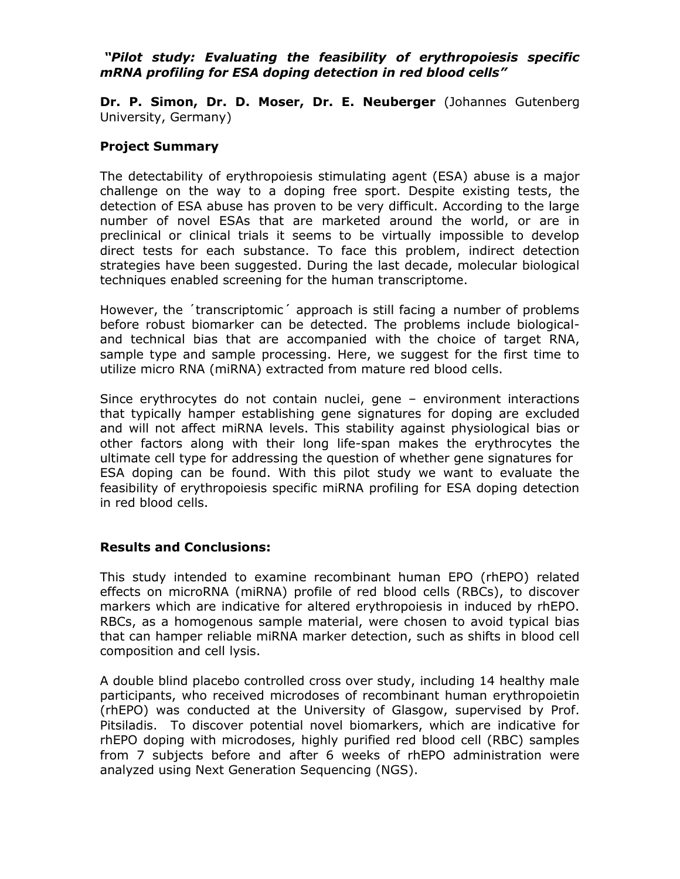## *"Pilot study: Evaluating the feasibility of erythropoiesis specific mRNA profiling for ESA doping detection in red blood cells"*

**Dr. P. Simon, Dr. D. Moser, Dr. E. Neuberger** (Johannes Gutenberg University, Germany)

## **Project Summary**

The detectability of erythropoiesis stimulating agent (ESA) abuse is a major challenge on the way to a doping free sport. Despite existing tests, the detection of ESA abuse has proven to be very difficult. According to the large number of novel ESAs that are marketed around the world, or are in preclinical or clinical trials it seems to be virtually impossible to develop direct tests for each substance. To face this problem, indirect detection strategies have been suggested. During the last decade, molecular biological techniques enabled screening for the human transcriptome.

However, the ´transcriptomic´ approach is still facing a number of problems before robust biomarker can be detected. The problems include biologicaland technical bias that are accompanied with the choice of target RNA, sample type and sample processing. Here, we suggest for the first time to utilize micro RNA (miRNA) extracted from mature red blood cells.

Since erythrocytes do not contain nuclei, gene – environment interactions that typically hamper establishing gene signatures for doping are excluded and will not affect miRNA levels. This stability against physiological bias or other factors along with their long life-span makes the erythrocytes the ultimate cell type for addressing the question of whether gene signatures for ESA doping can be found. With this pilot study we want to evaluate the feasibility of erythropoiesis specific miRNA profiling for ESA doping detection in red blood cells.

## **Results and Conclusions:**

This study intended to examine recombinant human EPO (rhEPO) related effects on microRNA (miRNA) profile of red blood cells (RBCs), to discover markers which are indicative for altered erythropoiesis in induced by rhEPO. RBCs, as a homogenous sample material, were chosen to avoid typical bias that can hamper reliable miRNA marker detection, such as shifts in blood cell composition and cell lysis.

A double blind placebo controlled cross over study, including 14 healthy male participants, who received microdoses of recombinant human erythropoietin (rhEPO) was conducted at the University of Glasgow, supervised by Prof. Pitsiladis. To discover potential novel biomarkers, which are indicative for rhEPO doping with microdoses, highly purified red blood cell (RBC) samples from 7 subjects before and after 6 weeks of rhEPO administration were analyzed using Next Generation Sequencing (NGS).